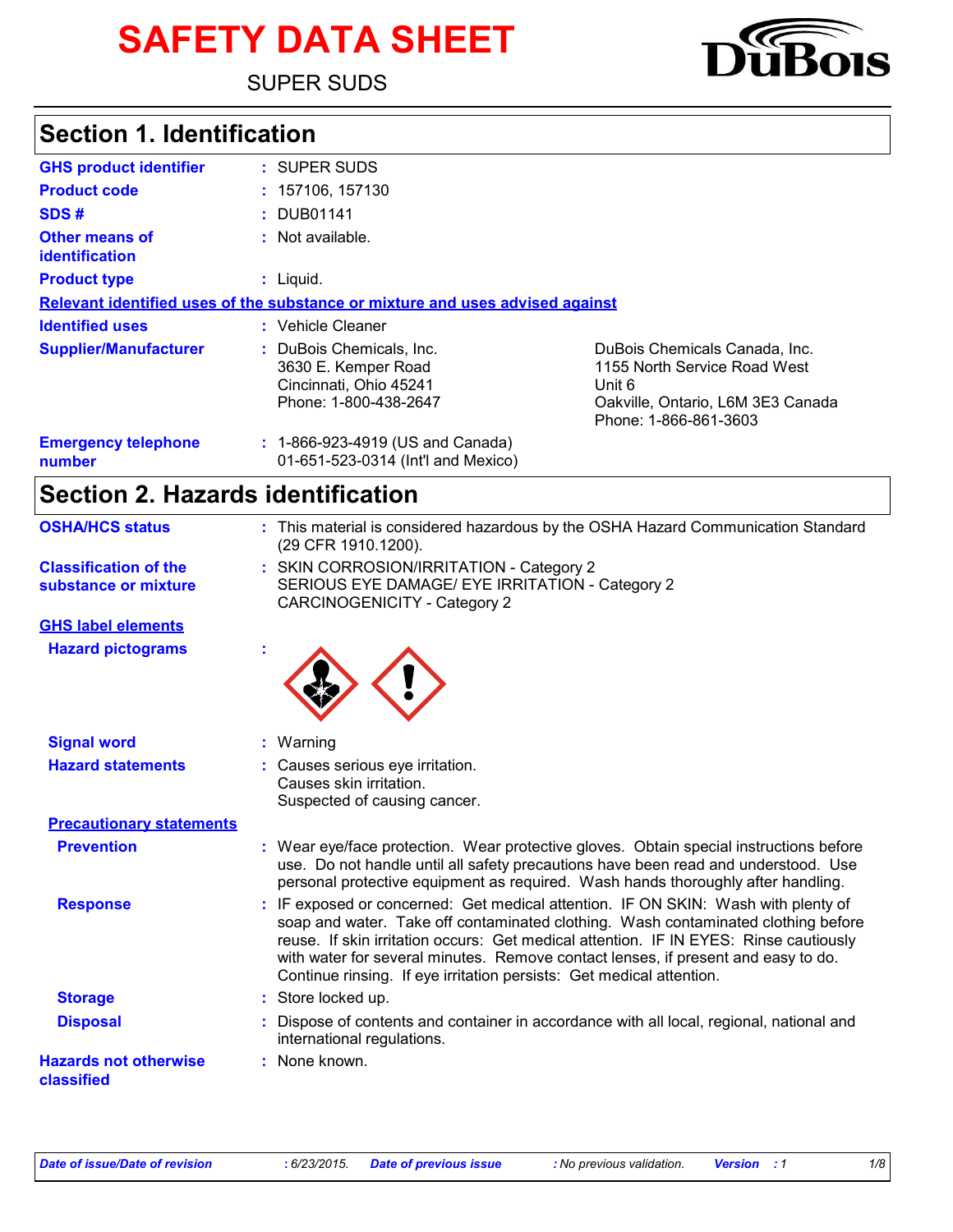# **SAFETY DATA SHEET**

SUPER SUDS

# **Section 1. Identification**

| <b>GHS product identifier</b>           | : SUPER SUDS                                                                                       |                                                                                                                                       |
|-----------------------------------------|----------------------------------------------------------------------------------------------------|---------------------------------------------------------------------------------------------------------------------------------------|
| <b>Product code</b>                     | : 157106, 157130                                                                                   |                                                                                                                                       |
| SDS#                                    | : DUB01141                                                                                         |                                                                                                                                       |
| <b>Other means of</b><br>identification | : Not available.                                                                                   |                                                                                                                                       |
| <b>Product type</b>                     | $:$ Liquid.                                                                                        |                                                                                                                                       |
|                                         | Relevant identified uses of the substance or mixture and uses advised against                      |                                                                                                                                       |
| <b>Identified uses</b>                  | : Vehicle Cleaner                                                                                  |                                                                                                                                       |
| <b>Supplier/Manufacturer</b>            | : DuBois Chemicals, Inc.<br>3630 E. Kemper Road<br>Cincinnati, Ohio 45241<br>Phone: 1-800-438-2647 | DuBois Chemicals Canada, Inc.<br>1155 North Service Road West<br>Unit 6<br>Oakville, Ontario, L6M 3E3 Canada<br>Phone: 1-866-861-3603 |
| <b>Emergency telephone</b><br>number    | : 1-866-923-4919 (US and Canada)<br>01-651-523-0314 (Int'l and Mexico)                             |                                                                                                                                       |

# **Section 2. Hazards identification**

| <b>OSHA/HCS status</b>                               | : This material is considered hazardous by the OSHA Hazard Communication Standard<br>(29 CFR 1910.1200).                                                                                                                                                                                                                                                                                                                   |
|------------------------------------------------------|----------------------------------------------------------------------------------------------------------------------------------------------------------------------------------------------------------------------------------------------------------------------------------------------------------------------------------------------------------------------------------------------------------------------------|
| <b>Classification of the</b><br>substance or mixture | : SKIN CORROSION/IRRITATION - Category 2<br>SERIOUS EYE DAMAGE/ EYE IRRITATION - Category 2<br><b>CARCINOGENICITY - Category 2</b>                                                                                                                                                                                                                                                                                         |
| <b>GHS label elements</b>                            |                                                                                                                                                                                                                                                                                                                                                                                                                            |
| <b>Hazard pictograms</b>                             |                                                                                                                                                                                                                                                                                                                                                                                                                            |
| <b>Signal word</b>                                   | Warning                                                                                                                                                                                                                                                                                                                                                                                                                    |
| <b>Hazard statements</b>                             | Causes serious eye irritation.<br>Causes skin irritation.<br>Suspected of causing cancer.                                                                                                                                                                                                                                                                                                                                  |
| <b>Precautionary statements</b>                      |                                                                                                                                                                                                                                                                                                                                                                                                                            |
| <b>Prevention</b>                                    | : Wear eye/face protection. Wear protective gloves. Obtain special instructions before<br>use. Do not handle until all safety precautions have been read and understood. Use<br>personal protective equipment as required. Wash hands thoroughly after handling.                                                                                                                                                           |
| <b>Response</b>                                      | IF exposed or concerned: Get medical attention. IF ON SKIN: Wash with plenty of<br>soap and water. Take off contaminated clothing. Wash contaminated clothing before<br>reuse. If skin irritation occurs: Get medical attention. IF IN EYES: Rinse cautiously<br>with water for several minutes. Remove contact lenses, if present and easy to do.<br>Continue rinsing. If eye irritation persists: Get medical attention. |
| <b>Storage</b>                                       | : Store locked up.                                                                                                                                                                                                                                                                                                                                                                                                         |
| <b>Disposal</b>                                      | Dispose of contents and container in accordance with all local, regional, national and<br>international regulations.                                                                                                                                                                                                                                                                                                       |
| <b>Hazards not otherwise</b><br>classified           | : None known.                                                                                                                                                                                                                                                                                                                                                                                                              |

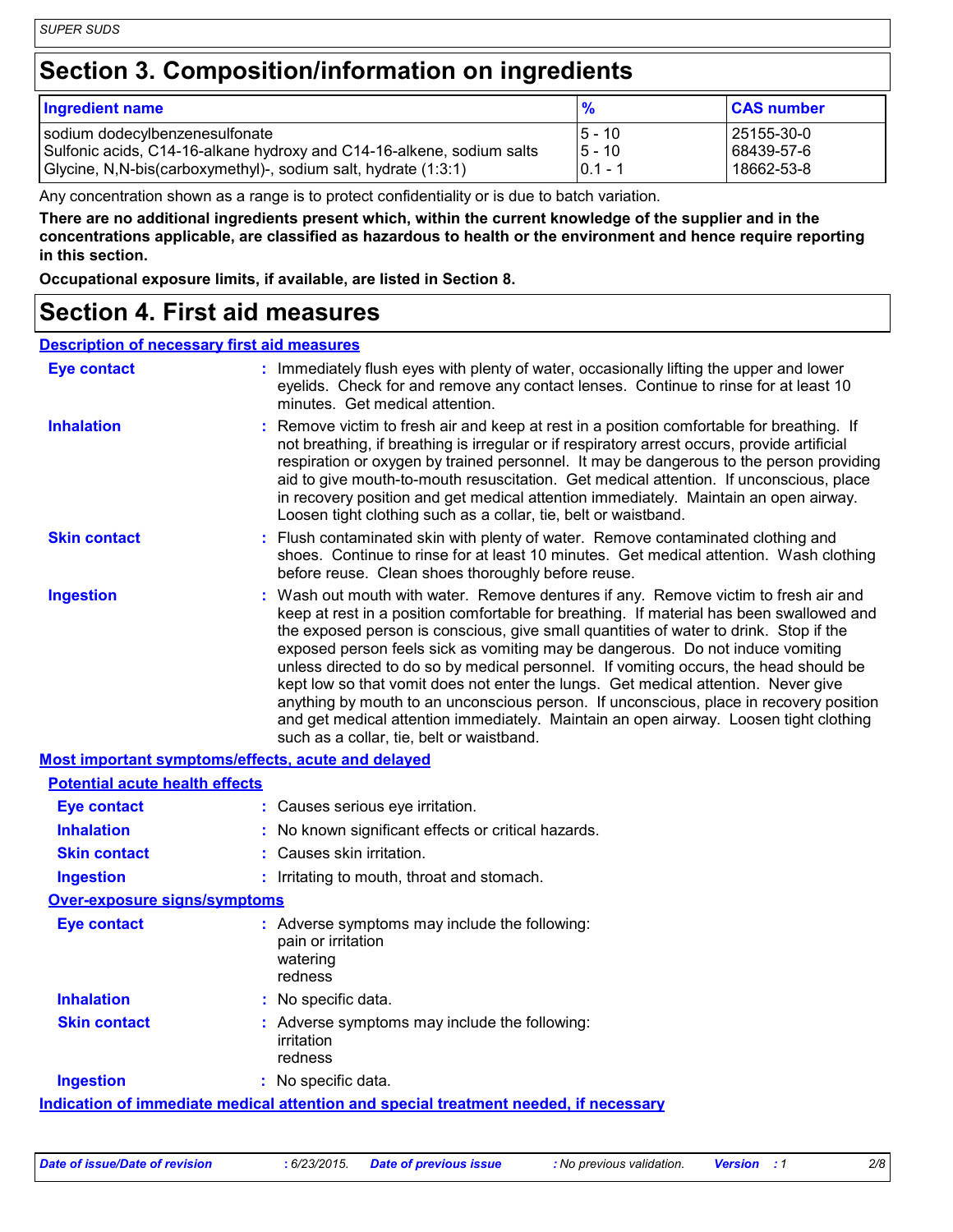### **Section 3. Composition/information on ingredients**

| Ingredient name                                                       | $\frac{9}{6}$   | <b>CAS number</b> |
|-----------------------------------------------------------------------|-----------------|-------------------|
| sodium dodecylbenzenesulfonate                                        | <u> 15 - 10</u> | 25155-30-0        |
| Sulfonic acids, C14-16-alkane hydroxy and C14-16-alkene, sodium salts | <b>5 - 10</b>   | 68439-57-6        |
| Glycine, N, N-bis (carboxymethyl)-, sodium salt, hydrate (1:3:1)      | $0.1 - 1$       | 18662-53-8        |

Any concentration shown as a range is to protect confidentiality or is due to batch variation.

**There are no additional ingredients present which, within the current knowledge of the supplier and in the concentrations applicable, are classified as hazardous to health or the environment and hence require reporting in this section.**

**Occupational exposure limits, if available, are listed in Section 8.**

#### **Section 4. First aid measures**

#### **Description of necessary first aid measures**

| <b>Eye contact</b>                                 | : Immediately flush eyes with plenty of water, occasionally lifting the upper and lower<br>eyelids. Check for and remove any contact lenses. Continue to rinse for at least 10<br>minutes. Get medical attention.                                                                                                                                                                                                                                                                                                                                                                                                                                                                                                                                                         |
|----------------------------------------------------|---------------------------------------------------------------------------------------------------------------------------------------------------------------------------------------------------------------------------------------------------------------------------------------------------------------------------------------------------------------------------------------------------------------------------------------------------------------------------------------------------------------------------------------------------------------------------------------------------------------------------------------------------------------------------------------------------------------------------------------------------------------------------|
| <b>Inhalation</b>                                  | : Remove victim to fresh air and keep at rest in a position comfortable for breathing. If<br>not breathing, if breathing is irregular or if respiratory arrest occurs, provide artificial<br>respiration or oxygen by trained personnel. It may be dangerous to the person providing<br>aid to give mouth-to-mouth resuscitation. Get medical attention. If unconscious, place<br>in recovery position and get medical attention immediately. Maintain an open airway.<br>Loosen tight clothing such as a collar, tie, belt or waistband.                                                                                                                                                                                                                                 |
| <b>Skin contact</b>                                | : Flush contaminated skin with plenty of water. Remove contaminated clothing and<br>shoes. Continue to rinse for at least 10 minutes. Get medical attention. Wash clothing<br>before reuse. Clean shoes thoroughly before reuse.                                                                                                                                                                                                                                                                                                                                                                                                                                                                                                                                          |
| <b>Ingestion</b>                                   | : Wash out mouth with water. Remove dentures if any. Remove victim to fresh air and<br>keep at rest in a position comfortable for breathing. If material has been swallowed and<br>the exposed person is conscious, give small quantities of water to drink. Stop if the<br>exposed person feels sick as vomiting may be dangerous. Do not induce vomiting<br>unless directed to do so by medical personnel. If vomiting occurs, the head should be<br>kept low so that vomit does not enter the lungs. Get medical attention. Never give<br>anything by mouth to an unconscious person. If unconscious, place in recovery position<br>and get medical attention immediately. Maintain an open airway. Loosen tight clothing<br>such as a collar, tie, belt or waistband. |
| Most important symptoms/effects, acute and delayed |                                                                                                                                                                                                                                                                                                                                                                                                                                                                                                                                                                                                                                                                                                                                                                           |
| <b>Potential acute health effects</b>              |                                                                                                                                                                                                                                                                                                                                                                                                                                                                                                                                                                                                                                                                                                                                                                           |

| <u>i vlennai acule health ehects</u> |                                                                                            |
|--------------------------------------|--------------------------------------------------------------------------------------------|
| <b>Eye contact</b>                   | : Causes serious eye irritation.                                                           |
| <b>Inhalation</b>                    | : No known significant effects or critical hazards.                                        |
| <b>Skin contact</b>                  | : Causes skin irritation.                                                                  |
| <b>Ingestion</b>                     | : Irritating to mouth, throat and stomach.                                                 |
| <b>Over-exposure signs/symptoms</b>  |                                                                                            |
| <b>Eye contact</b>                   | : Adverse symptoms may include the following:<br>pain or irritation<br>watering<br>redness |
| <b>Inhalation</b>                    | : No specific data.                                                                        |
| <b>Skin contact</b>                  | : Adverse symptoms may include the following:<br>irritation<br>redness                     |
| <b>Ingestion</b>                     | : No specific data.                                                                        |
|                                      | Indication of immediate medical attention and special treatment needed, if necessary       |

*Date of issue/Date of revision* **:** *6/23/2015. Date of previous issue : No previous validation. Version : 1 2/8*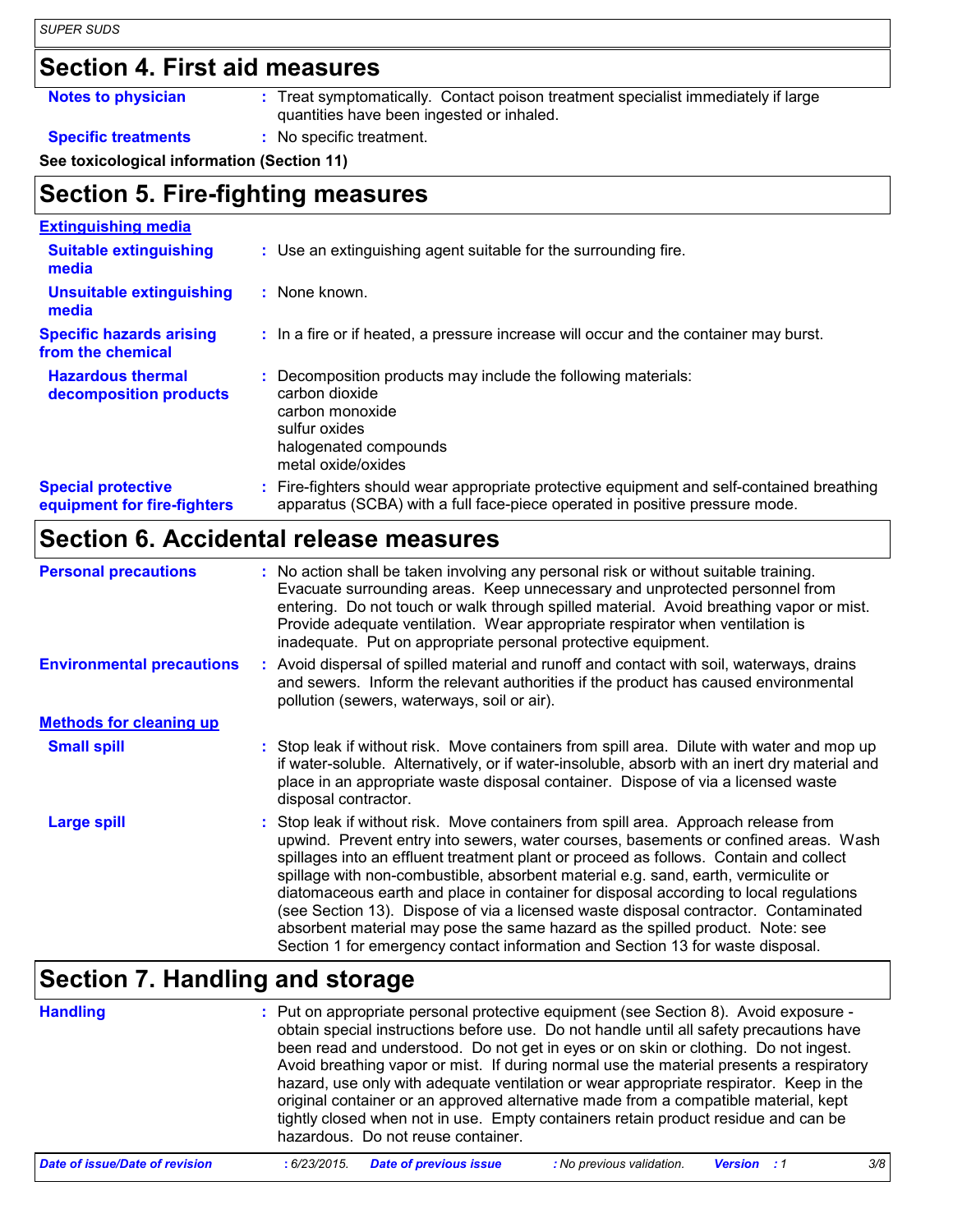#### **Section 4. First aid measures**

**Notes to physician :** Treat symptomatically. Contact poison treatment specialist immediately if large quantities have been ingested or inhaled.

#### **Specific treatments :** No specific treatment.

**See toxicological information (Section 11)**

#### **Section 5. Fire-fighting measures**

| <b>Extinguishing media</b>                               |                                                                                                                                                                        |
|----------------------------------------------------------|------------------------------------------------------------------------------------------------------------------------------------------------------------------------|
| <b>Suitable extinguishing</b><br>media                   | : Use an extinguishing agent suitable for the surrounding fire.                                                                                                        |
| <b>Unsuitable extinguishing</b><br>media                 | : None known.                                                                                                                                                          |
| <b>Specific hazards arising</b><br>from the chemical     | : In a fire or if heated, a pressure increase will occur and the container may burst.                                                                                  |
| <b>Hazardous thermal</b><br>decomposition products       | Decomposition products may include the following materials:<br>carbon dioxide<br>carbon monoxide<br>sulfur oxides<br>halogenated compounds<br>metal oxide/oxides       |
| <b>Special protective</b><br>equipment for fire-fighters | Fire-fighters should wear appropriate protective equipment and self-contained breathing<br>apparatus (SCBA) with a full face-piece operated in positive pressure mode. |

### **Section 6. Accidental release measures**

| <b>Personal precautions</b>      | : No action shall be taken involving any personal risk or without suitable training.<br>Evacuate surrounding areas. Keep unnecessary and unprotected personnel from<br>entering. Do not touch or walk through spilled material. Avoid breathing vapor or mist.<br>Provide adequate ventilation. Wear appropriate respirator when ventilation is<br>inadequate. Put on appropriate personal protective equipment.                                                                                                                                                                                                                                                                                             |
|----------------------------------|--------------------------------------------------------------------------------------------------------------------------------------------------------------------------------------------------------------------------------------------------------------------------------------------------------------------------------------------------------------------------------------------------------------------------------------------------------------------------------------------------------------------------------------------------------------------------------------------------------------------------------------------------------------------------------------------------------------|
| <b>Environmental precautions</b> | : Avoid dispersal of spilled material and runoff and contact with soil, waterways, drains<br>and sewers. Inform the relevant authorities if the product has caused environmental<br>pollution (sewers, waterways, soil or air).                                                                                                                                                                                                                                                                                                                                                                                                                                                                              |
| <b>Methods for cleaning up</b>   |                                                                                                                                                                                                                                                                                                                                                                                                                                                                                                                                                                                                                                                                                                              |
| <b>Small spill</b>               | : Stop leak if without risk. Move containers from spill area. Dilute with water and mop up<br>if water-soluble. Alternatively, or if water-insoluble, absorb with an inert dry material and<br>place in an appropriate waste disposal container. Dispose of via a licensed waste<br>disposal contractor.                                                                                                                                                                                                                                                                                                                                                                                                     |
| Large spill                      | : Stop leak if without risk. Move containers from spill area. Approach release from<br>upwind. Prevent entry into sewers, water courses, basements or confined areas. Wash<br>spillages into an effluent treatment plant or proceed as follows. Contain and collect<br>spillage with non-combustible, absorbent material e.g. sand, earth, vermiculite or<br>diatomaceous earth and place in container for disposal according to local regulations<br>(see Section 13). Dispose of via a licensed waste disposal contractor. Contaminated<br>absorbent material may pose the same hazard as the spilled product. Note: see<br>Section 1 for emergency contact information and Section 13 for waste disposal. |

### **Section 7. Handling and storage**

| <b>Handling</b>                | : Put on appropriate personal protective equipment (see Section 8). Avoid exposure -<br>obtain special instructions before use. Do not handle until all safety precautions have<br>been read and understood. Do not get in eyes or on skin or clothing. Do not ingest.<br>Avoid breathing vapor or mist. If during normal use the material presents a respiratory<br>hazard, use only with adequate ventilation or wear appropriate respirator. Keep in the<br>original container or an approved alternative made from a compatible material, kept<br>tightly closed when not in use. Empty containers retain product residue and can be<br>hazardous. Do not reuse container. |
|--------------------------------|--------------------------------------------------------------------------------------------------------------------------------------------------------------------------------------------------------------------------------------------------------------------------------------------------------------------------------------------------------------------------------------------------------------------------------------------------------------------------------------------------------------------------------------------------------------------------------------------------------------------------------------------------------------------------------|
| Date of issue/Date of revision | <b>Date of previous issue</b><br>3/8<br>: No previous validation.<br>:6/23/2015.<br><b>Version</b> : 1                                                                                                                                                                                                                                                                                                                                                                                                                                                                                                                                                                         |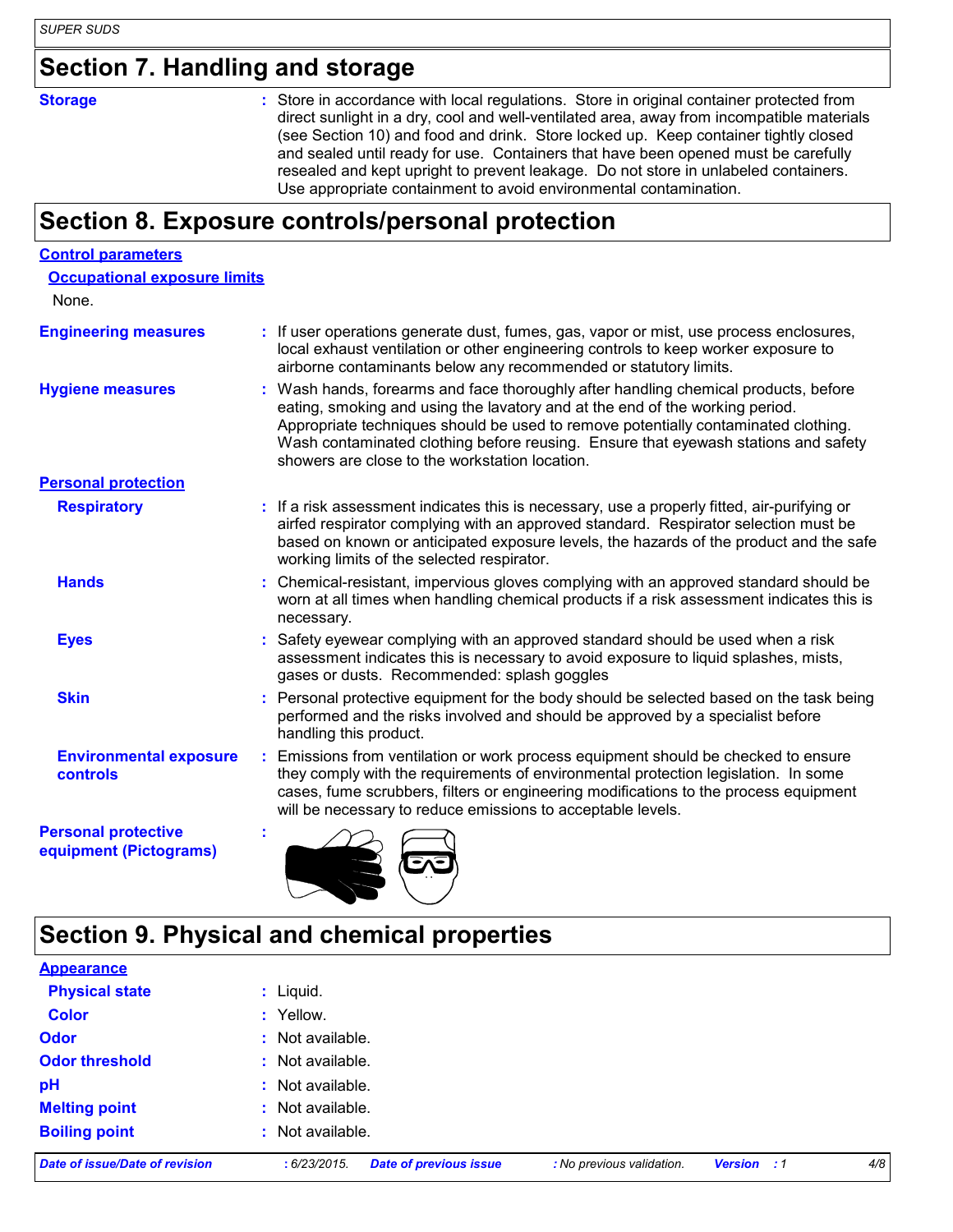### **Section 7. Handling and storage**

**Storage** Store in accordance with local regulations. Store in original container protected from direct sunlight in a dry, cool and well-ventilated area, away from incompatible materials (see Section 10) and food and drink. Store locked up. Keep container tightly closed and sealed until ready for use. Containers that have been opened must be carefully resealed and kept upright to prevent leakage. Do not store in unlabeled containers. Use appropriate containment to avoid environmental contamination.

### **Section 8. Exposure controls/personal protection**

| <b>Control parameters</b>                            |                                                                                                                                                                                                                                                                                                                                                                                                   |
|------------------------------------------------------|---------------------------------------------------------------------------------------------------------------------------------------------------------------------------------------------------------------------------------------------------------------------------------------------------------------------------------------------------------------------------------------------------|
| <b>Occupational exposure limits</b>                  |                                                                                                                                                                                                                                                                                                                                                                                                   |
| None.                                                |                                                                                                                                                                                                                                                                                                                                                                                                   |
| <b>Engineering measures</b>                          | : If user operations generate dust, fumes, gas, vapor or mist, use process enclosures,<br>local exhaust ventilation or other engineering controls to keep worker exposure to<br>airborne contaminants below any recommended or statutory limits.                                                                                                                                                  |
| <b>Hygiene measures</b>                              | : Wash hands, forearms and face thoroughly after handling chemical products, before<br>eating, smoking and using the lavatory and at the end of the working period.<br>Appropriate techniques should be used to remove potentially contaminated clothing.<br>Wash contaminated clothing before reusing. Ensure that eyewash stations and safety<br>showers are close to the workstation location. |
| <b>Personal protection</b>                           |                                                                                                                                                                                                                                                                                                                                                                                                   |
| <b>Respiratory</b>                                   | : If a risk assessment indicates this is necessary, use a properly fitted, air-purifying or<br>airfed respirator complying with an approved standard. Respirator selection must be<br>based on known or anticipated exposure levels, the hazards of the product and the safe<br>working limits of the selected respirator.                                                                        |
| <b>Hands</b>                                         | : Chemical-resistant, impervious gloves complying with an approved standard should be<br>worn at all times when handling chemical products if a risk assessment indicates this is<br>necessary.                                                                                                                                                                                                   |
| <b>Eyes</b>                                          | : Safety eyewear complying with an approved standard should be used when a risk<br>assessment indicates this is necessary to avoid exposure to liquid splashes, mists,<br>gases or dusts. Recommended: splash goggles                                                                                                                                                                             |
| <b>Skin</b>                                          | : Personal protective equipment for the body should be selected based on the task being<br>performed and the risks involved and should be approved by a specialist before<br>handling this product.                                                                                                                                                                                               |
| <b>Environmental exposure</b><br>controls            | : Emissions from ventilation or work process equipment should be checked to ensure<br>they comply with the requirements of environmental protection legislation. In some<br>cases, fume scrubbers, filters or engineering modifications to the process equipment<br>will be necessary to reduce emissions to acceptable levels.                                                                   |
| <b>Personal protective</b><br>equipment (Pictograms) |                                                                                                                                                                                                                                                                                                                                                                                                   |

### **Section 9. Physical and chemical properties**

| Date of issue/Date of revision | <b>Date of previous issue</b><br>: 6/23/2015. | : No previous validation. | Version : 1 | 4/8 |
|--------------------------------|-----------------------------------------------|---------------------------|-------------|-----|
| <b>Boiling point</b>           | : Not available.                              |                           |             |     |
| <b>Melting point</b>           | : Not available.                              |                           |             |     |
| pH                             | : Not available.                              |                           |             |     |
| <b>Odor threshold</b>          | : Not available.                              |                           |             |     |
| <b>Odor</b>                    | : Not available.                              |                           |             |     |
| <b>Color</b>                   | : Yellow.                                     |                           |             |     |
| <b>Physical state</b>          | $:$ Liquid.                                   |                           |             |     |
| <b>Appearance</b>              |                                               |                           |             |     |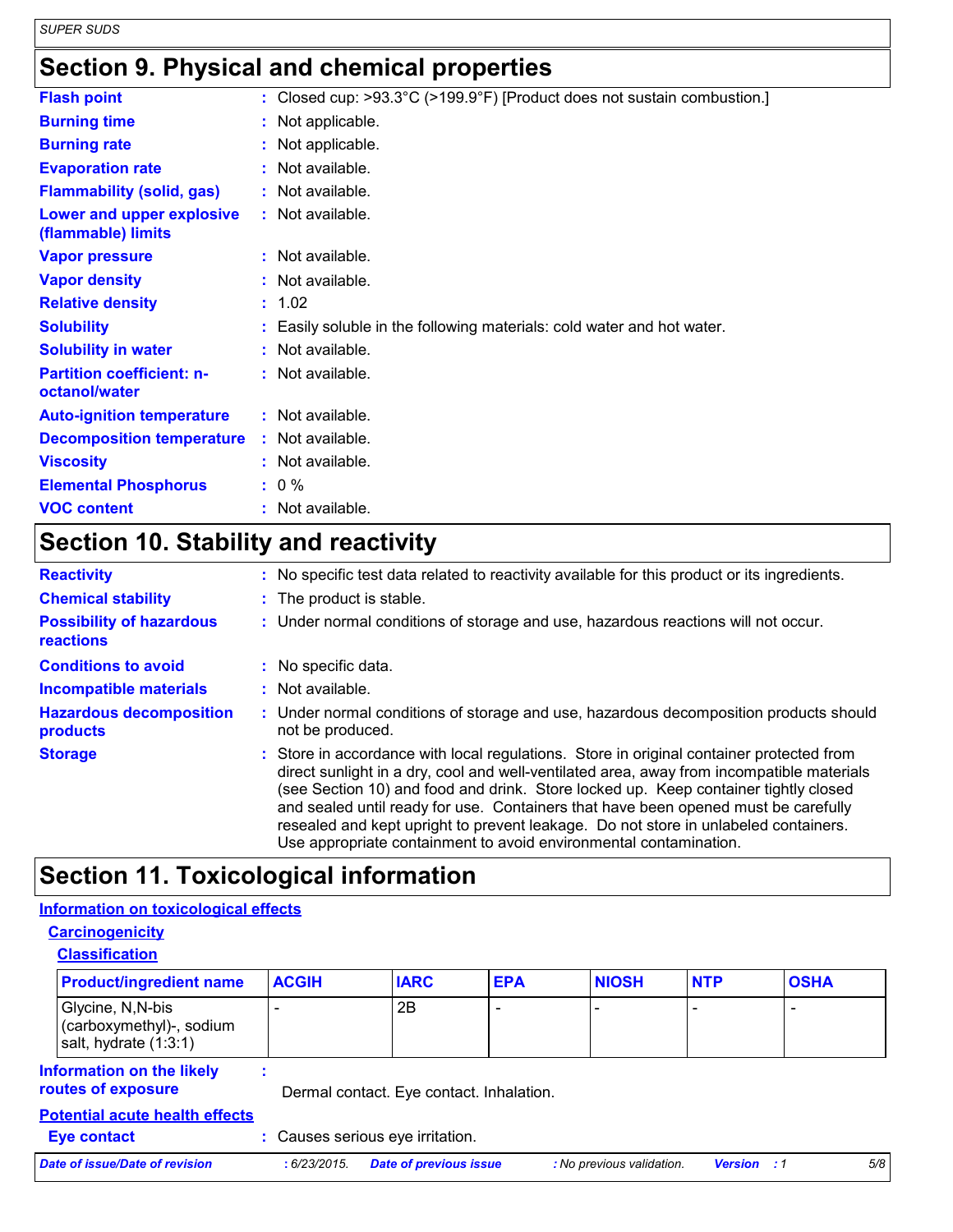*SUPER SUDS*

### **Section 9. Physical and chemical properties**

| <b>Flash point</b>                                | : Closed cup: >93.3°C (>199.9°F) [Product does not sustain combustion.] |
|---------------------------------------------------|-------------------------------------------------------------------------|
| <b>Burning time</b>                               | : Not applicable.                                                       |
| <b>Burning rate</b>                               | : Not applicable.                                                       |
| <b>Evaporation rate</b>                           | : Not available.                                                        |
| <b>Flammability (solid, gas)</b>                  | : Not available.                                                        |
| Lower and upper explosive<br>(flammable) limits   | : Not available.                                                        |
| <b>Vapor pressure</b>                             | $:$ Not available.                                                      |
| <b>Vapor density</b>                              | : Not available.                                                        |
| <b>Relative density</b>                           | : 1.02                                                                  |
| <b>Solubility</b>                                 | : Easily soluble in the following materials: cold water and hot water.  |
| <b>Solubility in water</b>                        | : Not available.                                                        |
| <b>Partition coefficient: n-</b><br>octanol/water | : Not available.                                                        |
| <b>Auto-ignition temperature</b>                  | : Not available.                                                        |
| <b>Decomposition temperature</b>                  | : Not available.                                                        |
| <b>Viscosity</b>                                  | : Not available.                                                        |
| <b>Elemental Phosphorus</b>                       | $: 0 \%$                                                                |
| <b>VOC content</b>                                | : Not available.                                                        |

## **Section 10. Stability and reactivity**

| <b>Reactivity</b>                                   | : No specific test data related to reactivity available for this product or its ingredients.                                                                                                                                                                                                                                                                                                                                                                                                                                   |
|-----------------------------------------------------|--------------------------------------------------------------------------------------------------------------------------------------------------------------------------------------------------------------------------------------------------------------------------------------------------------------------------------------------------------------------------------------------------------------------------------------------------------------------------------------------------------------------------------|
| <b>Chemical stability</b>                           | : The product is stable.                                                                                                                                                                                                                                                                                                                                                                                                                                                                                                       |
| <b>Possibility of hazardous</b><br><b>reactions</b> | : Under normal conditions of storage and use, hazardous reactions will not occur.                                                                                                                                                                                                                                                                                                                                                                                                                                              |
| <b>Conditions to avoid</b>                          | : No specific data.                                                                                                                                                                                                                                                                                                                                                                                                                                                                                                            |
| <b>Incompatible materials</b>                       | : Not available.                                                                                                                                                                                                                                                                                                                                                                                                                                                                                                               |
| <b>Hazardous decomposition</b><br>products          | : Under normal conditions of storage and use, hazardous decomposition products should<br>not be produced.                                                                                                                                                                                                                                                                                                                                                                                                                      |
| <b>Storage</b>                                      | : Store in accordance with local regulations. Store in original container protected from<br>direct sunlight in a dry, cool and well-ventilated area, away from incompatible materials<br>(see Section 10) and food and drink. Store locked up. Keep container tightly closed<br>and sealed until ready for use. Containers that have been opened must be carefully<br>resealed and kept upright to prevent leakage. Do not store in unlabeled containers.<br>Use appropriate containment to avoid environmental contamination. |

### **Section 11. Toxicological information**

#### **Information on toxicological effects**

| <b>Classification</b>                                                  |              |                                          |            |              |            |             |
|------------------------------------------------------------------------|--------------|------------------------------------------|------------|--------------|------------|-------------|
| <b>Product/ingredient name</b>                                         | <b>ACGIH</b> | <b>IARC</b>                              | <b>EPA</b> | <b>NIOSH</b> | <b>NTP</b> | <b>OSHA</b> |
| Glycine, N, N-bis<br>(carboxymethyl)-, sodium<br>salt, hydrate (1:3:1) |              | 2B                                       |            |              |            |             |
| <b>Information on the likely</b><br>routes of exposure                 |              | Dermal contact. Eye contact. Inhalation. |            |              |            |             |
| <b>Potential acute health effects</b>                                  |              |                                          |            |              |            |             |
| <b>Eye contact</b>                                                     |              | : Causes serious eye irritation.         |            |              |            |             |

| Date of issue/Date of revision | : 6/23/2015. Date of previous issue | : No previous validation. | <b>Version</b> : 1 |  |
|--------------------------------|-------------------------------------|---------------------------|--------------------|--|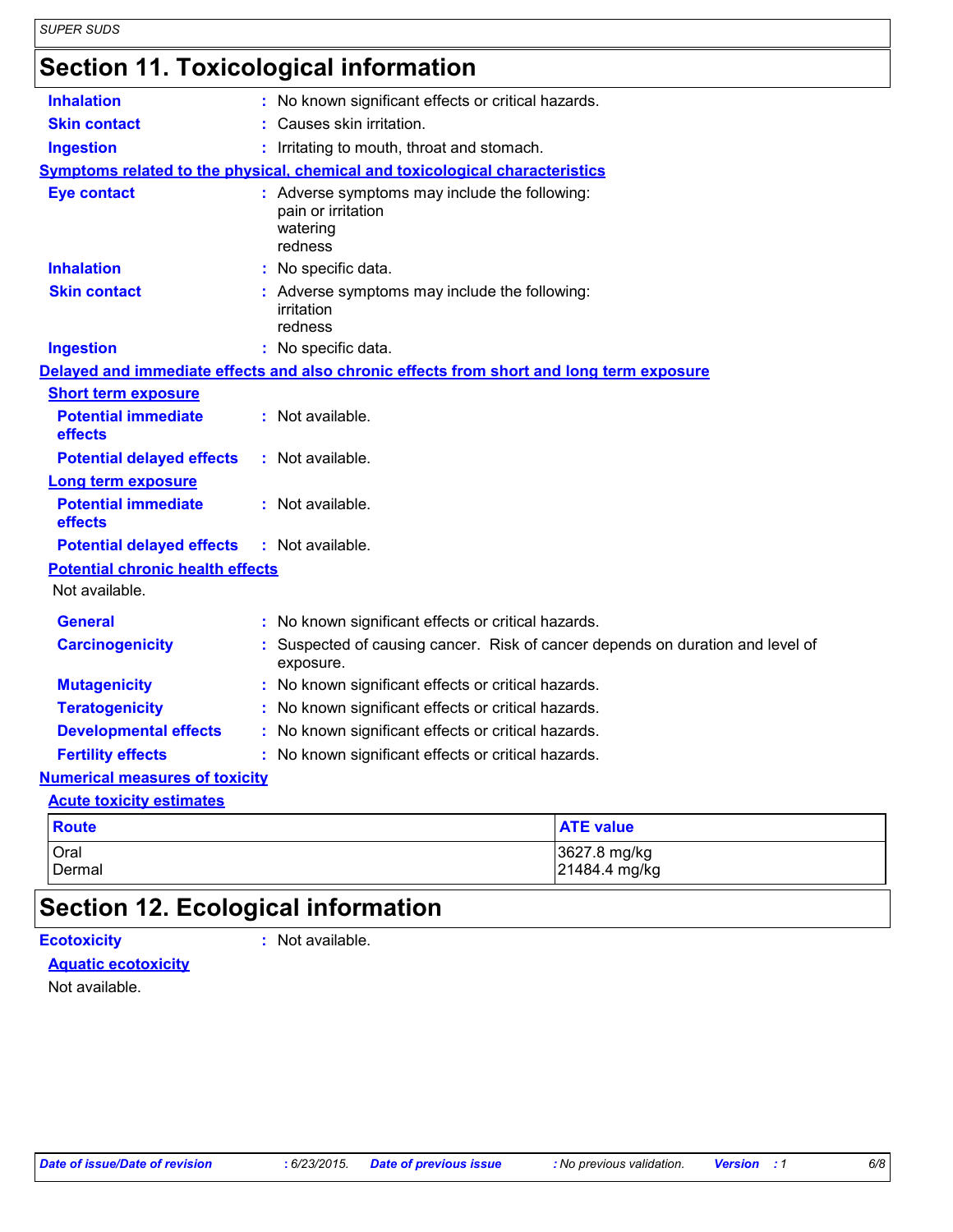# **Section 11. Toxicological information**

| <b>Inhalation</b>                                                  |                  | : No known significant effects or critical hazards.                                        |                               |  |  |
|--------------------------------------------------------------------|------------------|--------------------------------------------------------------------------------------------|-------------------------------|--|--|
| <b>Skin contact</b>                                                |                  | : Causes skin irritation.                                                                  |                               |  |  |
| <b>Ingestion</b>                                                   |                  | : Irritating to mouth, throat and stomach.                                                 |                               |  |  |
|                                                                    |                  | Symptoms related to the physical, chemical and toxicological characteristics               |                               |  |  |
| <b>Eye contact</b>                                                 |                  | : Adverse symptoms may include the following:<br>pain or irritation<br>watering<br>redness |                               |  |  |
| <b>Inhalation</b>                                                  |                  | No specific data.                                                                          |                               |  |  |
| <b>Skin contact</b>                                                |                  | : Adverse symptoms may include the following:<br>irritation<br>redness                     |                               |  |  |
| <b>Ingestion</b>                                                   |                  | : No specific data.                                                                        |                               |  |  |
|                                                                    |                  | Delayed and immediate effects and also chronic effects from short and long term exposure   |                               |  |  |
| <b>Short term exposure</b>                                         |                  |                                                                                            |                               |  |  |
| <b>Potential immediate</b><br>effects                              |                  | : Not available.                                                                           |                               |  |  |
| <b>Potential delayed effects</b>                                   |                  | : Not available.                                                                           |                               |  |  |
| <b>Long term exposure</b><br><b>Potential immediate</b><br>effects |                  | : Not available.                                                                           |                               |  |  |
| <b>Potential delayed effects</b>                                   |                  | : Not available.                                                                           |                               |  |  |
| <b>Potential chronic health effects</b>                            |                  |                                                                                            |                               |  |  |
| Not available.                                                     |                  |                                                                                            |                               |  |  |
| <b>General</b>                                                     |                  | : No known significant effects or critical hazards.                                        |                               |  |  |
| <b>Carcinogenicity</b>                                             |                  | Suspected of causing cancer. Risk of cancer depends on duration and level of<br>exposure.  |                               |  |  |
| <b>Mutagenicity</b>                                                |                  | : No known significant effects or critical hazards.                                        |                               |  |  |
| <b>Teratogenicity</b>                                              |                  | : No known significant effects or critical hazards.                                        |                               |  |  |
| <b>Developmental effects</b>                                       |                  | : No known significant effects or critical hazards.                                        |                               |  |  |
| <b>Fertility effects</b>                                           |                  | : No known significant effects or critical hazards.                                        |                               |  |  |
| <b>Numerical measures of toxicity</b>                              |                  |                                                                                            |                               |  |  |
| <b>Acute toxicity estimates</b>                                    |                  |                                                                                            |                               |  |  |
| <b>Route</b>                                                       | <b>ATE value</b> |                                                                                            |                               |  |  |
| Oral<br>Dermal                                                     |                  |                                                                                            | 3627.8 mg/kg<br>21484.4 mg/kg |  |  |

# **Section 12. Ecological information**

**Ecotoxicity :**

: Not available.

#### **Aquatic ecotoxicity**

Not available.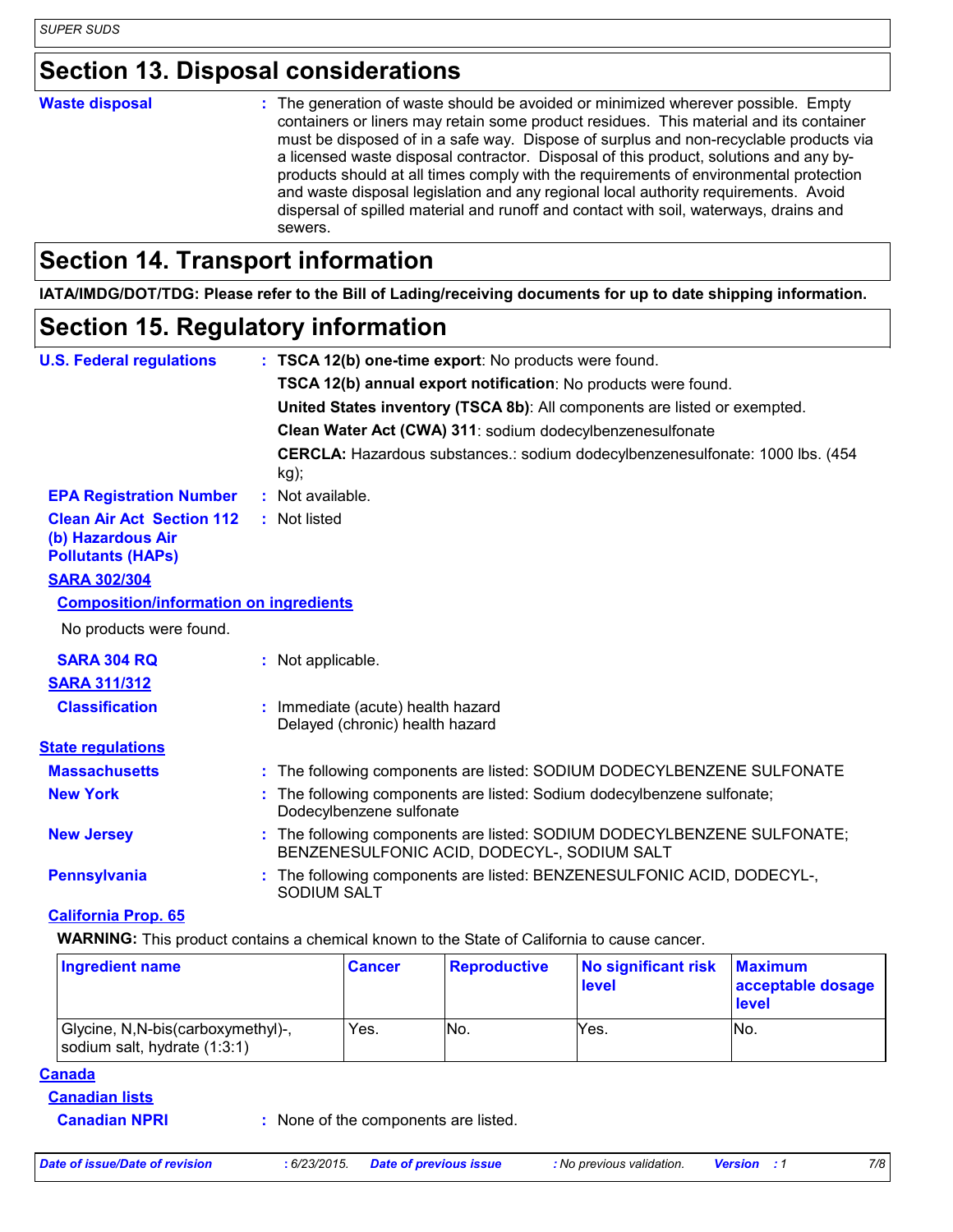### **Section 13. Disposal considerations**

#### **Waste disposal :**

The generation of waste should be avoided or minimized wherever possible. Empty containers or liners may retain some product residues. This material and its container must be disposed of in a safe way. Dispose of surplus and non-recyclable products via a licensed waste disposal contractor. Disposal of this product, solutions and any byproducts should at all times comply with the requirements of environmental protection and waste disposal legislation and any regional local authority requirements. Avoid dispersal of spilled material and runoff and contact with soil, waterways, drains and sewers.

### **Section 14. Transport information**

**IATA/IMDG/DOT/TDG: Please refer to the Bill of Lading/receiving documents for up to date shipping information.**

#### **Section 15. Regulatory information**

| <b>U.S. Federal regulations</b>                                                   | : TSCA 12(b) one-time export: No products were found.                                                                  |  |
|-----------------------------------------------------------------------------------|------------------------------------------------------------------------------------------------------------------------|--|
|                                                                                   | TSCA 12(b) annual export notification: No products were found.                                                         |  |
|                                                                                   | United States inventory (TSCA 8b): All components are listed or exempted.                                              |  |
|                                                                                   | Clean Water Act (CWA) 311: sodium dodecylbenzenesulfonate                                                              |  |
|                                                                                   | CERCLA: Hazardous substances.: sodium dodecylbenzenesulfonate: 1000 lbs. (454)<br>kg);                                 |  |
| <b>EPA Registration Number</b>                                                    | : Not available.                                                                                                       |  |
| <b>Clean Air Act Section 112</b><br>(b) Hazardous Air<br><b>Pollutants (HAPS)</b> | : Not listed                                                                                                           |  |
| <b>SARA 302/304</b>                                                               |                                                                                                                        |  |
| <b>Composition/information on ingredients</b>                                     |                                                                                                                        |  |
| No products were found.                                                           |                                                                                                                        |  |
| <b>SARA 304 RQ</b>                                                                | : Not applicable.                                                                                                      |  |
| <b>SARA 311/312</b>                                                               |                                                                                                                        |  |
| <b>Classification</b>                                                             | : Immediate (acute) health hazard<br>Delayed (chronic) health hazard                                                   |  |
| <b>State regulations</b>                                                          |                                                                                                                        |  |
| <b>Massachusetts</b>                                                              | : The following components are listed: SODIUM DODECYLBENZENE SULFONATE                                                 |  |
| <b>New York</b>                                                                   | : The following components are listed: Sodium dodecylbenzene sulfonate;<br>Dodecylbenzene sulfonate                    |  |
| <b>New Jersey</b>                                                                 | : The following components are listed: SODIUM DODECYLBENZENE SULFONATE;<br>BENZENESULFONIC ACID, DODECYL-, SODIUM SALT |  |
| <b>Pennsylvania</b>                                                               | : The following components are listed: BENZENESULFONIC ACID, DODECYL-,<br><b>SODIUM SALT</b>                           |  |

#### **California Prop. 65**

**WARNING:** This product contains a chemical known to the State of California to cause cancer.

| <b>Ingredient name</b>                                              | <b>Cancer</b> | Reproductive | No significant risk<br><b>level</b> | <b>Maximum</b><br>acceptable dosage<br><b>level</b> |
|---------------------------------------------------------------------|---------------|--------------|-------------------------------------|-----------------------------------------------------|
| Glycine, N, N-bis (carboxymethyl)-,<br>sodium salt, hydrate (1:3:1) | Yes.          | INo.         | Yes.                                | INo.                                                |

#### **Canada**

#### **Canadian lists**